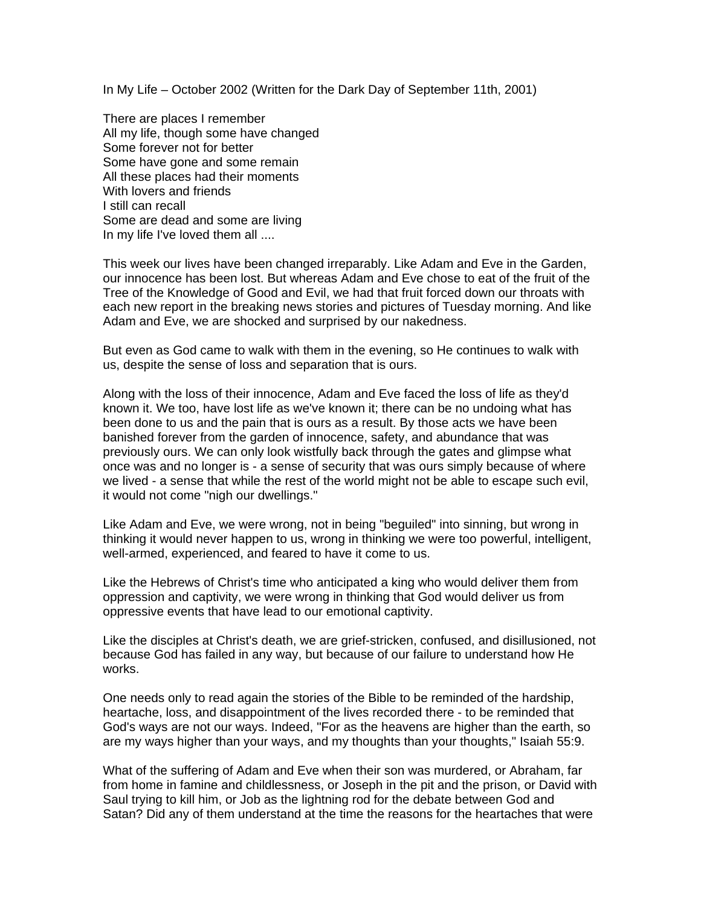In My Life – October 2002 (Written for the Dark Day of September 11th, 2001)

There are places I remember All my life, though some have changed Some forever not for better Some have gone and some remain All these places had their moments With lovers and friends I still can recall Some are dead and some are living In my life I've loved them all ....

This week our lives have been changed irreparably. Like Adam and Eve in the Garden, our innocence has been lost. But whereas Adam and Eve chose to eat of the fruit of the Tree of the Knowledge of Good and Evil, we had that fruit forced down our throats with each new report in the breaking news stories and pictures of Tuesday morning. And like Adam and Eve, we are shocked and surprised by our nakedness.

But even as God came to walk with them in the evening, so He continues to walk with us, despite the sense of loss and separation that is ours.

Along with the loss of their innocence, Adam and Eve faced the loss of life as they'd known it. We too, have lost life as we've known it; there can be no undoing what has been done to us and the pain that is ours as a result. By those acts we have been banished forever from the garden of innocence, safety, and abundance that was previously ours. We can only look wistfully back through the gates and glimpse what once was and no longer is - a sense of security that was ours simply because of where we lived - a sense that while the rest of the world might not be able to escape such evil, it would not come "nigh our dwellings."

Like Adam and Eve, we were wrong, not in being "beguiled" into sinning, but wrong in thinking it would never happen to us, wrong in thinking we were too powerful, intelligent, well-armed, experienced, and feared to have it come to us.

Like the Hebrews of Christ's time who anticipated a king who would deliver them from oppression and captivity, we were wrong in thinking that God would deliver us from oppressive events that have lead to our emotional captivity.

Like the disciples at Christ's death, we are grief-stricken, confused, and disillusioned, not because God has failed in any way, but because of our failure to understand how He works.

One needs only to read again the stories of the Bible to be reminded of the hardship, heartache, loss, and disappointment of the lives recorded there - to be reminded that God's ways are not our ways. Indeed, "For as the heavens are higher than the earth, so are my ways higher than your ways, and my thoughts than your thoughts," Isaiah 55:9.

What of the suffering of Adam and Eve when their son was murdered, or Abraham, far from home in famine and childlessness, or Joseph in the pit and the prison, or David with Saul trying to kill him, or Job as the lightning rod for the debate between God and Satan? Did any of them understand at the time the reasons for the heartaches that were